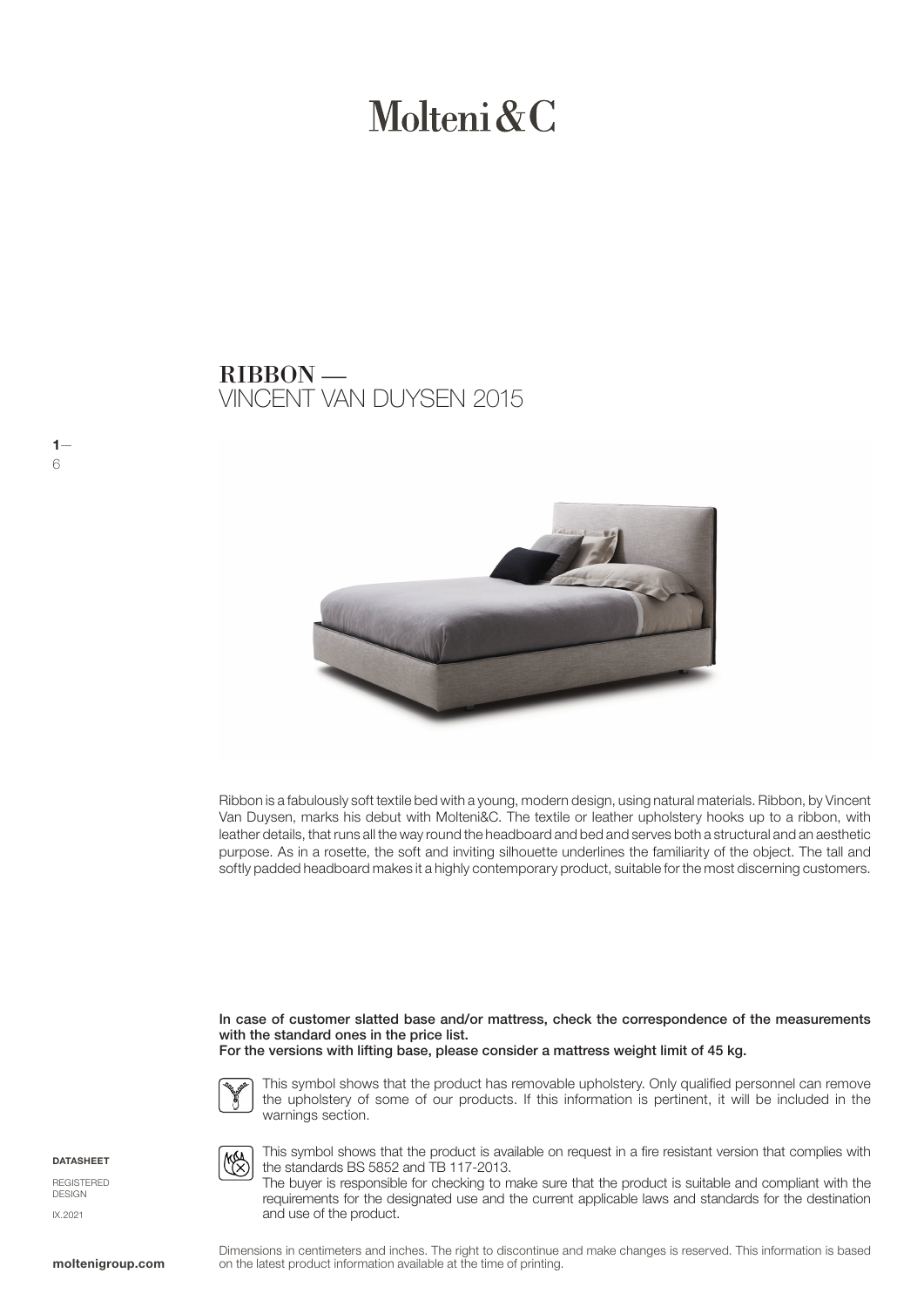# Molteni  $\&C$

### VINCENT VAN DUYSEN 2015 RIBBON —



Ribbon is a fabulously soft textile bed with a young, modern design, using natural materials. Ribbon, by Vincent Van Duysen, marks his debut with Molteni&C. The textile or leather upholstery hooks up to a ribbon, with leather details, that runs all the way round the headboard and bed and serves both a structural and an aesthetic purpose. As in a rosette, the soft and inviting silhouette underlines the familiarity of the object. The tall and softly padded headboard makes it a highly contemporary product, suitable for the most discerning customers.

In case of customer slatted base and/or mattress, check the correspondence of the measurements with the standard ones in the price list.





**KA** 

This symbol shows that the product has removable upholstery. Only qualified personnel can remove the upholstery of some of our products. If this information is pertinent, it will be included in the warnings section.



 $1-$ 

6

**REGISTERED** DESIGN IX.2021

This symbol shows that the product is available on request in a fire resistant version that complies with the standards BS 5852 and TB 117-2013.

The buyer is responsible for checking to make sure that the product is suitable and compliant with the requirements for the designated use and the current applicable laws and standards for the destination and use of the product.

Dimensions in centimeters and inches. The right to discontinue and make changes is reserved. This information is based on the latest product information available at the time of printing.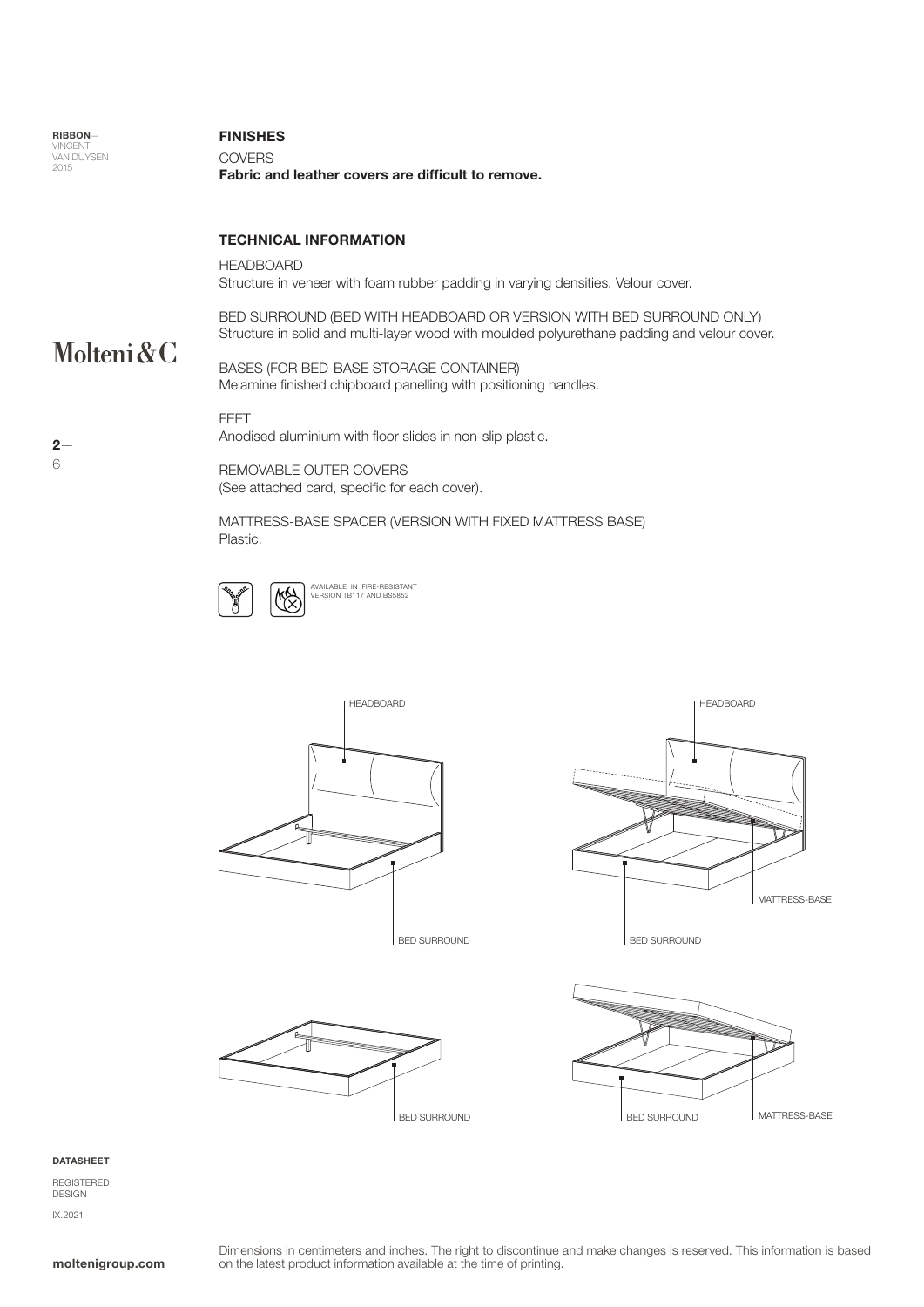| <b>RIBBON-</b><br><b>VINCENT</b><br><b>VAN DUYSEN</b><br>2015 | <b>FINISHES</b><br><b>COVERS</b><br>Fabric and leather covers are difficult to remove.                                                                             |
|---------------------------------------------------------------|--------------------------------------------------------------------------------------------------------------------------------------------------------------------|
|                                                               | <b>TECHNICAL INFORMATION</b>                                                                                                                                       |
|                                                               | <b>HEADBOARD</b><br>Structure in veneer with foam rubber padding in varying densities. Velour cover.                                                               |
| Molteni $\&C$                                                 | BED SURROUND (BED WITH HEADBOARD OR VERSION WITH BED SURROUND ONLY)<br>Structure in solid and multi-layer wood with moulded polyurethane padding and velour cover. |
|                                                               | BASES (FOR BED-BASE STORAGE CONTAINER)<br>Melamine finished chipboard panelling with positioning handles.                                                          |
| $2-$                                                          | FEET<br>Anodised aluminium with floor slides in non-slip plastic.                                                                                                  |
| 6                                                             | REMOVARI E OI ITER COVERS                                                                                                                                          |

REMOVABLE OUTER COVERS (See attached card, specific for each cover).

MATTRESS-BASE SPACER (VERSION WITH FIXED MATTRESS BASE) Plastic.





BED SURROUND







### DATASHEET

REGISTERED DESIGN IX.2021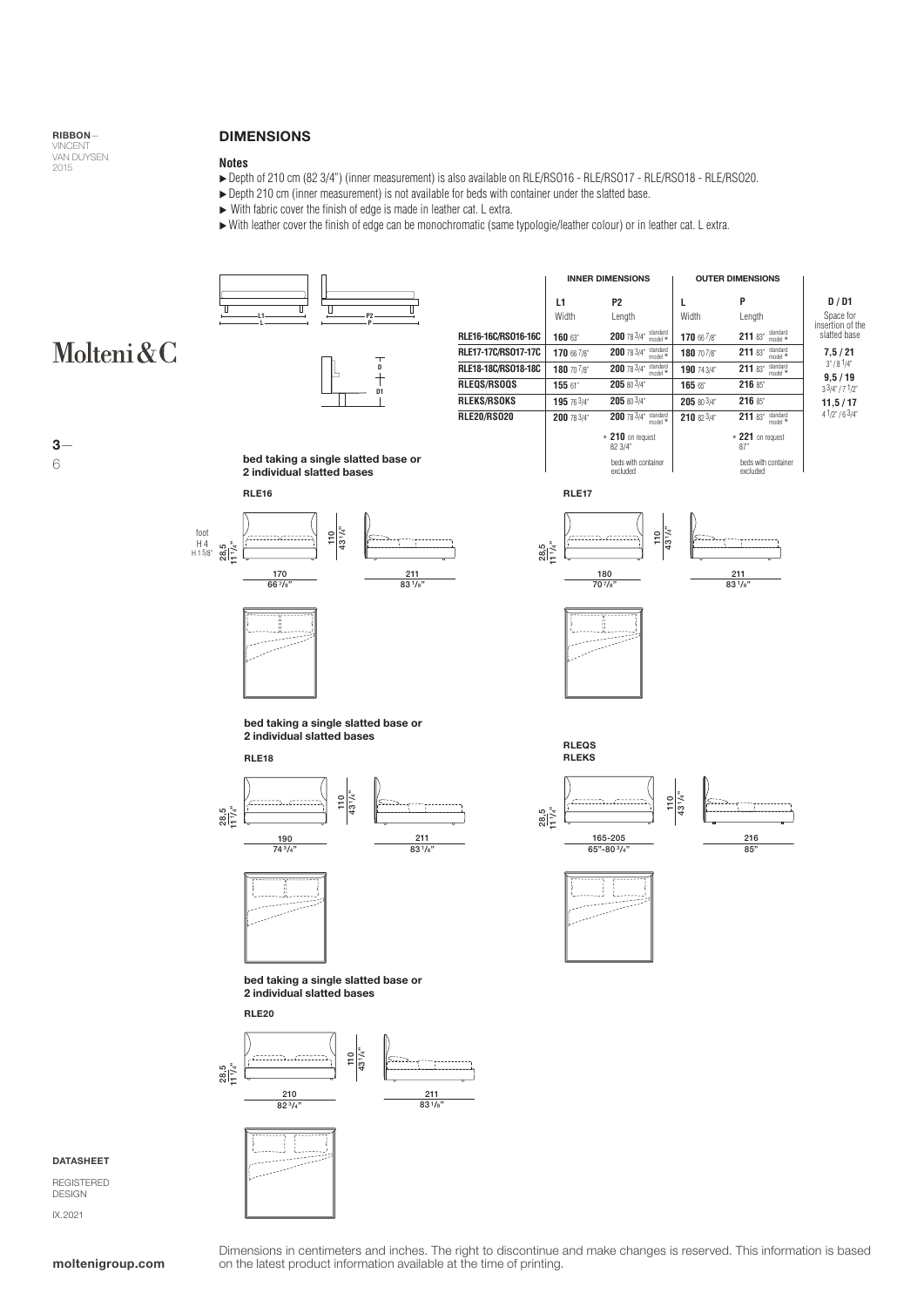

6

### DIMENSIONS

### **Notes**

- ▶ Depth of 210 cm (82 3/4") (inner measurement) is also available on RLE/RSO16 RLE/RSO17 RLE/RSO18 RLE/RSO20.
- ▶ Depth 210 cm (inner measurement) is not available for beds with container under the slatted base.
- With fabric cover the finish of edge is made in leather cat. L extra.
- With leather cover the finish of edge can be monochromatic (same typologie/leather colour) or in leather cat. L extra.



Dimensions in centimeters and inches. The right to discontinue and make changes is reserved. This information is based **moltenigroup.com** on the latest product information available at the time of printing.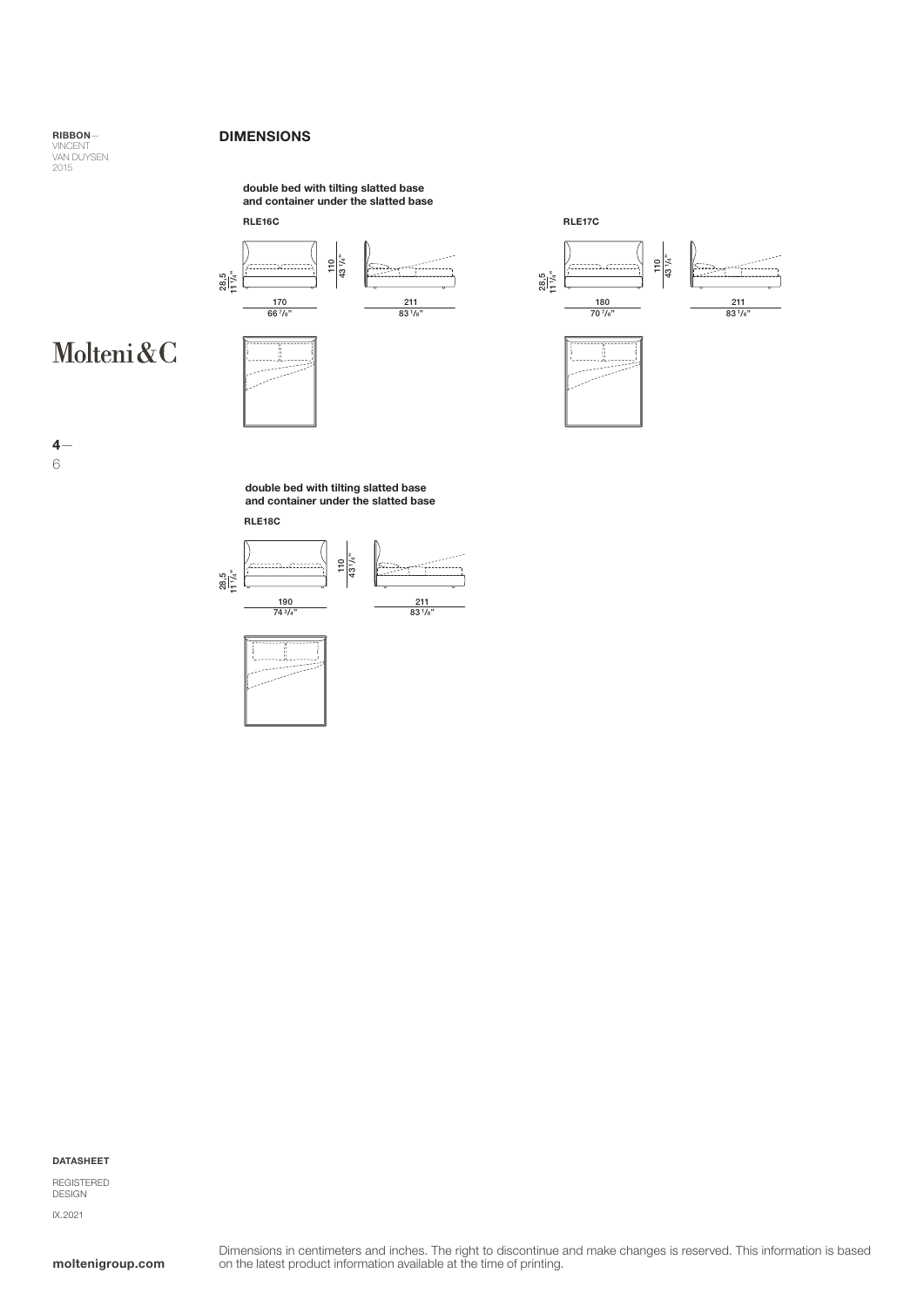### DIMENSIONS

RIBBON— VINCENT<br>VAN DUYSEN<br>2015

## and container under the slatted base



### Molteni&C









4— 6

> double bed with tilting slatted base and container under the slatted base





DATASHEET

REGISTERED DESIGN IX.2021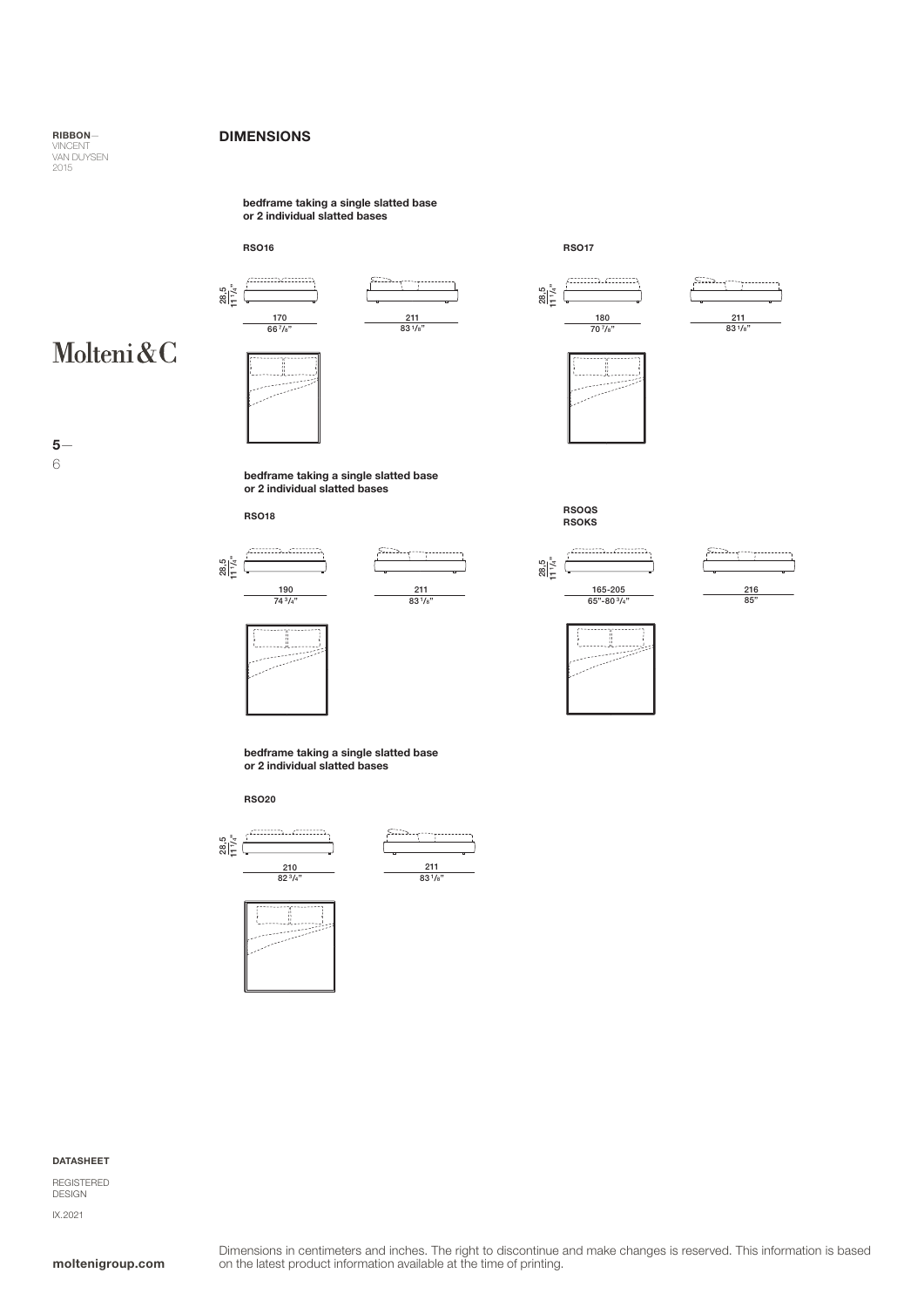### DIMENSIONS

RIBBON— VINCENT<br>VAN DUYSEN<br>2015

> bedframe taking a single slatted base or 2 individual slatted bases











RSO17



..................



# Molteni&C



6

bedframe taking a single slatted base or 2 individual slatted bases

RSO18



| 211         |  |
|-------------|--|
| $83^{1/s"}$ |  |



RSOKS

RSOQS





bedframe taking a single slatted base or 2 individual slatted bases

RSO20





 $\frac{211}{83^{1/s}}$ 

#### DATASHEET

REGISTERED DESIGN IX.2021

### moltenigroup.com